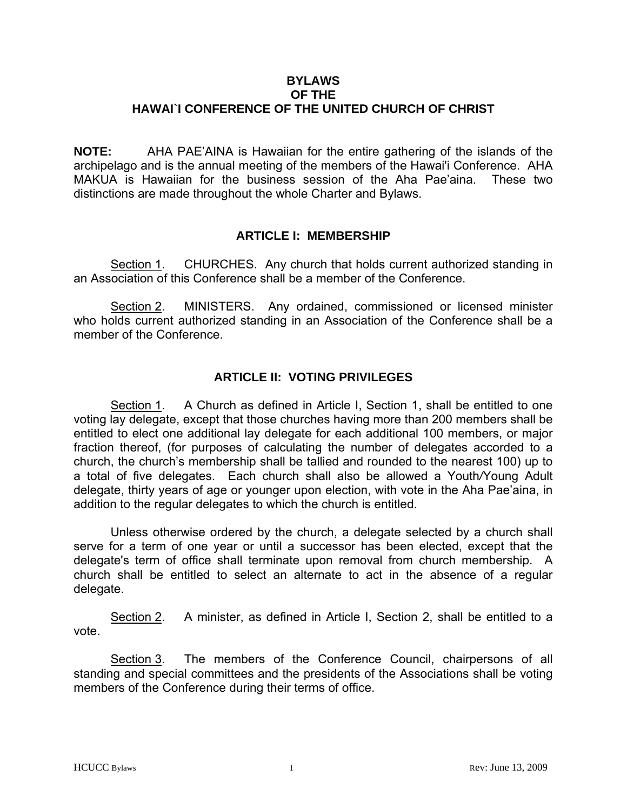#### **BYLAWS OF THE**

# **HAWAI`I CONFERENCE OF THE UNITED CHURCH OF CHRIST**

**NOTE:** AHA PAE'AINA is Hawaiian for the entire gathering of the islands of the archipelago and is the annual meeting of the members of the Hawai'i Conference. AHA MAKUA is Hawaiian for the business session of the Aha Pae'aina. These two distinctions are made throughout the whole Charter and Bylaws.

### **ARTICLE I: MEMBERSHIP**

Section 1. CHURCHES. Any church that holds current authorized standing in an Association of this Conference shall be a member of the Conference.

Section 2. MINISTERS. Any ordained, commissioned or licensed minister who holds current authorized standing in an Association of the Conference shall be a member of the Conference.

# **ARTICLE II: VOTING PRIVILEGES**

Section 1. A Church as defined in Article I, Section 1, shall be entitled to one voting lay delegate, except that those churches having more than 200 members shall be entitled to elect one additional lay delegate for each additional 100 members, or major fraction thereof, (for purposes of calculating the number of delegates accorded to a church, the church's membership shall be tallied and rounded to the nearest 100) up to a total of five delegates. Each church shall also be allowed a Youth*/*Young Adult delegate, thirty years of age or younger upon election, with vote in the Aha Pae'aina, in addition to the regular delegates to which the church is entitled.

 Unless otherwise ordered by the church, a delegate selected by a church shall serve for a term of one year or until a successor has been elected, except that the delegate's term of office shall terminate upon removal from church membership. A church shall be entitled to select an alternate to act in the absence of a regular delegate.

Section 2. A minister, as defined in Article I, Section 2, shall be entitled to a vote.

Section 3. The members of the Conference Council, chairpersons of all standing and special committees and the presidents of the Associations shall be voting members of the Conference during their terms of office.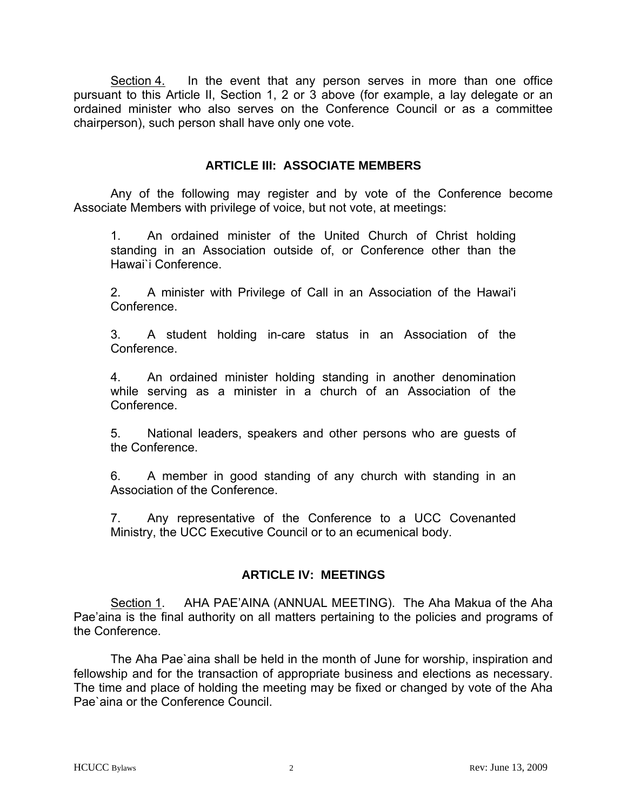Section 4. In the event that any person serves in more than one office pursuant to this Article II, Section 1, 2 or 3 above (for example, a lay delegate or an ordained minister who also serves on the Conference Council or as a committee chairperson), such person shall have only one vote.

### **ARTICLE III: ASSOCIATE MEMBERS**

 Any of the following may register and by vote of the Conference become Associate Members with privilege of voice, but not vote, at meetings:

1. An ordained minister of the United Church of Christ holding standing in an Association outside of, or Conference other than the Hawai`i Conference.

2. A minister with Privilege of Call in an Association of the Hawai'i Conference.

3. A student holding in-care status in an Association of the **Conference** 

4. An ordained minister holding standing in another denomination while serving as a minister in a church of an Association of the Conference.

5. National leaders, speakers and other persons who are guests of the Conference.

6. A member in good standing of any church with standing in an Association of the Conference.

7. Any representative of the Conference to a UCC Covenanted Ministry, the UCC Executive Council or to an ecumenical body.

### **ARTICLE IV: MEETINGS**

Section 1. AHA PAE'AINA (ANNUAL MEETING). The Aha Makua of the Aha Pae'aina is the final authority on all matters pertaining to the policies and programs of the Conference.

 The Aha Pae`aina shall be held in the month of June for worship, inspiration and fellowship and for the transaction of appropriate business and elections as necessary. The time and place of holding the meeting may be fixed or changed by vote of the Aha Pae`aina or the Conference Council.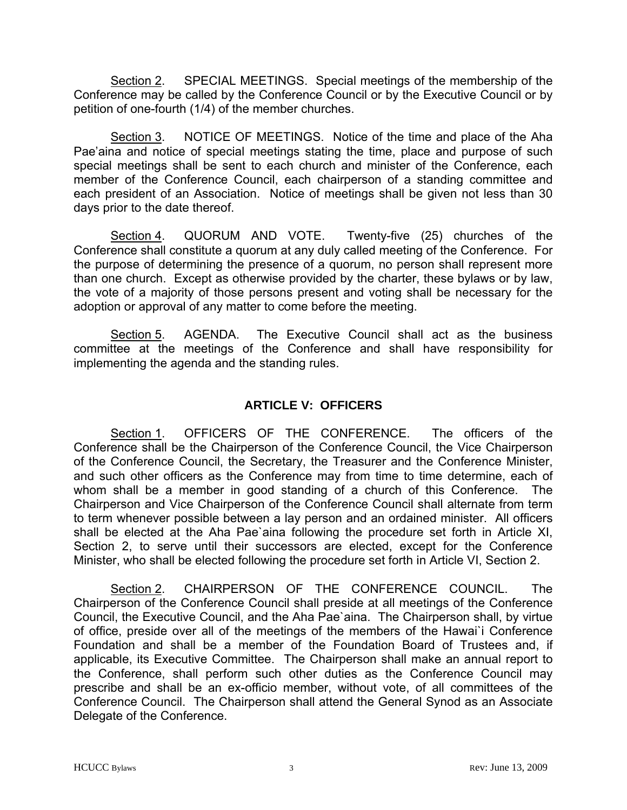Section 2. SPECIAL MEETINGS. Special meetings of the membership of the Conference may be called by the Conference Council or by the Executive Council or by petition of one-fourth (1/4) of the member churches.

Section 3. NOTICE OF MEETINGS. Notice of the time and place of the Aha Pae'aina and notice of special meetings stating the time, place and purpose of such special meetings shall be sent to each church and minister of the Conference, each member of the Conference Council, each chairperson of a standing committee and each president of an Association. Notice of meetings shall be given not less than 30 days prior to the date thereof.

Section 4. QUORUM AND VOTE. Twenty-five (25) churches of the Conference shall constitute a quorum at any duly called meeting of the Conference. For the purpose of determining the presence of a quorum, no person shall represent more than one church. Except as otherwise provided by the charter, these bylaws or by law, the vote of a majority of those persons present and voting shall be necessary for the adoption or approval of any matter to come before the meeting.

Section 5. AGENDA. The Executive Council shall act as the business committee at the meetings of the Conference and shall have responsibility for implementing the agenda and the standing rules.

# **ARTICLE V: OFFICERS**

Section 1. OFFICERS OF THE CONFERENCE. The officers of the Conference shall be the Chairperson of the Conference Council, the Vice Chairperson of the Conference Council, the Secretary, the Treasurer and the Conference Minister, and such other officers as the Conference may from time to time determine, each of whom shall be a member in good standing of a church of this Conference. The Chairperson and Vice Chairperson of the Conference Council shall alternate from term to term whenever possible between a lay person and an ordained minister. All officers shall be elected at the Aha Pae`aina following the procedure set forth in Article XI, Section 2, to serve until their successors are elected, except for the Conference Minister, who shall be elected following the procedure set forth in Article VI, Section 2.

Section 2. CHAIRPERSON OF THE CONFERENCE COUNCIL. The Chairperson of the Conference Council shall preside at all meetings of the Conference Council, the Executive Council, and the Aha Pae`aina. The Chairperson shall, by virtue of office, preside over all of the meetings of the members of the Hawai`i Conference Foundation and shall be a member of the Foundation Board of Trustees and, if applicable, its Executive Committee. The Chairperson shall make an annual report to the Conference, shall perform such other duties as the Conference Council may prescribe and shall be an ex-officio member, without vote, of all committees of the Conference Council. The Chairperson shall attend the General Synod as an Associate Delegate of the Conference.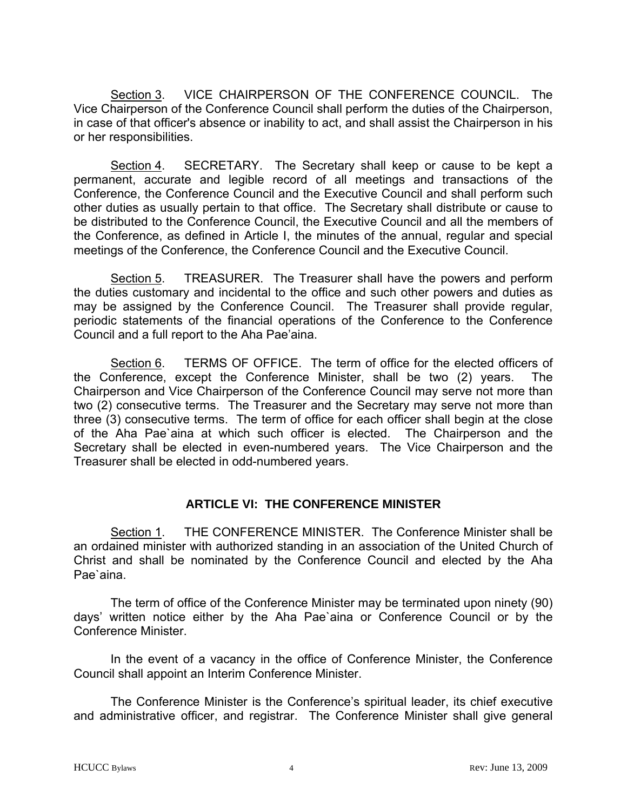Section 3. VICE CHAIRPERSON OF THE CONFERENCE COUNCIL. The Vice Chairperson of the Conference Council shall perform the duties of the Chairperson, in case of that officer's absence or inability to act, and shall assist the Chairperson in his or her responsibilities.

Section 4. SECRETARY. The Secretary shall keep or cause to be kept a permanent, accurate and legible record of all meetings and transactions of the Conference, the Conference Council and the Executive Council and shall perform such other duties as usually pertain to that office. The Secretary shall distribute or cause to be distributed to the Conference Council, the Executive Council and all the members of the Conference, as defined in Article I, the minutes of the annual, regular and special meetings of the Conference, the Conference Council and the Executive Council.

Section 5. TREASURER. The Treasurer shall have the powers and perform the duties customary and incidental to the office and such other powers and duties as may be assigned by the Conference Council. The Treasurer shall provide regular, periodic statements of the financial operations of the Conference to the Conference Council and a full report to the Aha Pae'aina.

Section 6. TERMS OF OFFICE. The term of office for the elected officers of the Conference, except the Conference Minister, shall be two (2) years. The Chairperson and Vice Chairperson of the Conference Council may serve not more than two (2) consecutive terms. The Treasurer and the Secretary may serve not more than three (3) consecutive terms. The term of office for each officer shall begin at the close of the Aha Pae`aina at which such officer is elected. The Chairperson and the Secretary shall be elected in even-numbered years. The Vice Chairperson and the Treasurer shall be elected in odd-numbered years.

### **ARTICLE VI: THE CONFERENCE MINISTER**

Section 1. THE CONFERENCE MINISTER. The Conference Minister shall be an ordained minister with authorized standing in an association of the United Church of Christ and shall be nominated by the Conference Council and elected by the Aha Pae`aina.

 The term of office of the Conference Minister may be terminated upon ninety (90) days' written notice either by the Aha Pae`aina or Conference Council or by the Conference Minister.

 In the event of a vacancy in the office of Conference Minister, the Conference Council shall appoint an Interim Conference Minister.

 The Conference Minister is the Conference's spiritual leader, its chief executive and administrative officer, and registrar. The Conference Minister shall give general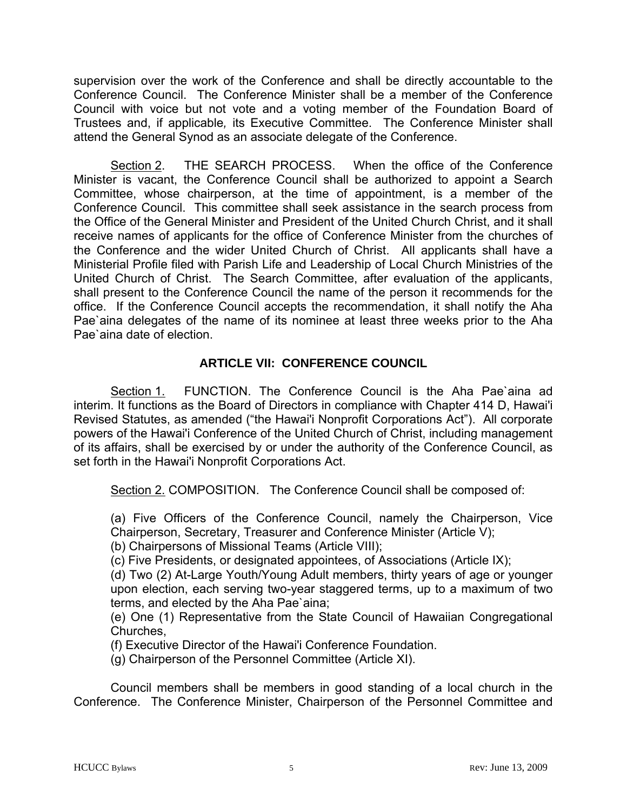supervision over the work of the Conference and shall be directly accountable to the Conference Council. The Conference Minister shall be a member of the Conference Council with voice but not vote and a voting member of the Foundation Board of Trustees and, if applicable*,* its Executive Committee. The Conference Minister shall attend the General Synod as an associate delegate of the Conference.

Section 2. THE SEARCH PROCESS. When the office of the Conference Minister is vacant, the Conference Council shall be authorized to appoint a Search Committee, whose chairperson, at the time of appointment, is a member of the Conference Council. This committee shall seek assistance in the search process from the Office of the General Minister and President of the United Church Christ, and it shall receive names of applicants for the office of Conference Minister from the churches of the Conference and the wider United Church of Christ. All applicants shall have a Ministerial Profile filed with Parish Life and Leadership of Local Church Ministries of the United Church of Christ. The Search Committee, after evaluation of the applicants, shall present to the Conference Council the name of the person it recommends for the office. If the Conference Council accepts the recommendation, it shall notify the Aha Pae'aina delegates of the name of its nominee at least three weeks prior to the Aha Pae`aina date of election.

# **ARTICLE VII: CONFERENCE COUNCIL**

Section 1. FUNCTION. The Conference Council is the Aha Pae`aina ad interim. It functions as the Board of Directors in compliance with Chapter 414 D, Hawai'i Revised Statutes, as amended ("the Hawai'i Nonprofit Corporations Act"). All corporate powers of the Hawai'i Conference of the United Church of Christ, including management of its affairs, shall be exercised by or under the authority of the Conference Council, as set forth in the Hawai'i Nonprofit Corporations Act.

Section 2. COMPOSITION. The Conference Council shall be composed of:

(a) Five Officers of the Conference Council, namely the Chairperson, Vice Chairperson, Secretary, Treasurer and Conference Minister (Article V);

(b) Chairpersons of Missional Teams (Article VIII);

(c) Five Presidents, or designated appointees, of Associations (Article IX);

(d) Two (2) At-Large Youth/Young Adult members, thirty years of age or younger upon election, each serving two-year staggered terms, up to a maximum of two terms, and elected by the Aha Pae`aina;

(e) One (1) Representative from the State Council of Hawaiian Congregational Churches,

(f) Executive Director of the Hawai'i Conference Foundation.

(g) Chairperson of the Personnel Committee (Article XI).

Council members shall be members in good standing of a local church in the Conference. The Conference Minister, Chairperson of the Personnel Committee and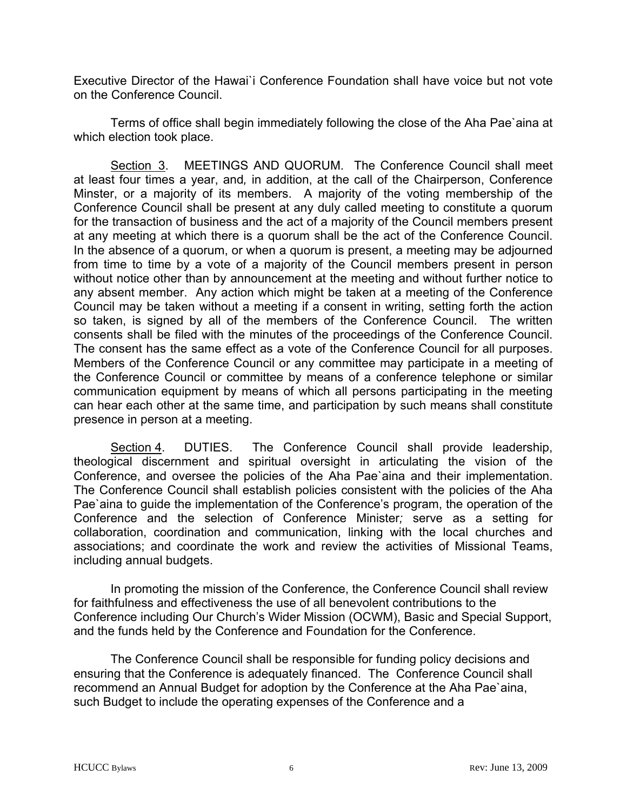Executive Director of the Hawai`i Conference Foundation shall have voice but not vote on the Conference Council.

 Terms of office shall begin immediately following the close of the Aha Pae`aina at which election took place.

Section 3. MEETINGS AND QUORUM. The Conference Council shall meet at least four times a year, and*,* in addition, at the call of the Chairperson, Conference Minster, or a majority of its members. A majority of the voting membership of the Conference Council shall be present at any duly called meeting to constitute a quorum for the transaction of business and the act of a majority of the Council members present at any meeting at which there is a quorum shall be the act of the Conference Council. In the absence of a quorum, or when a quorum is present, a meeting may be adjourned from time to time by a vote of a majority of the Council members present in person without notice other than by announcement at the meeting and without further notice to any absent member. Any action which might be taken at a meeting of the Conference Council may be taken without a meeting if a consent in writing, setting forth the action so taken, is signed by all of the members of the Conference Council. The written consents shall be filed with the minutes of the proceedings of the Conference Council. The consent has the same effect as a vote of the Conference Council for all purposes. Members of the Conference Council or any committee may participate in a meeting of the Conference Council or committee by means of a conference telephone or similar communication equipment by means of which all persons participating in the meeting can hear each other at the same time, and participation by such means shall constitute presence in person at a meeting.

Section 4. DUTIES. The Conference Council shall provide leadership, theological discernment and spiritual oversight in articulating the vision of the Conference, and oversee the policies of the Aha Pae`aina and their implementation. The Conference Council shall establish policies consistent with the policies of the Aha Pae'aina to guide the implementation of the Conference's program, the operation of the Conference and the selection of Conference Minister*;* serve as a setting for collaboration, coordination and communication, linking with the local churches and associations; and coordinate the work and review the activities of Missional Teams, including annual budgets.

In promoting the mission of the Conference, the Conference Council shall review for faithfulness and effectiveness the use of all benevolent contributions to the Conference including Our Church's Wider Mission (OCWM), Basic and Special Support, and the funds held by the Conference and Foundation for the Conference.

The Conference Council shall be responsible for funding policy decisions and ensuring that the Conference is adequately financed. The Conference Council shall recommend an Annual Budget for adoption by the Conference at the Aha Pae`aina, such Budget to include the operating expenses of the Conference and a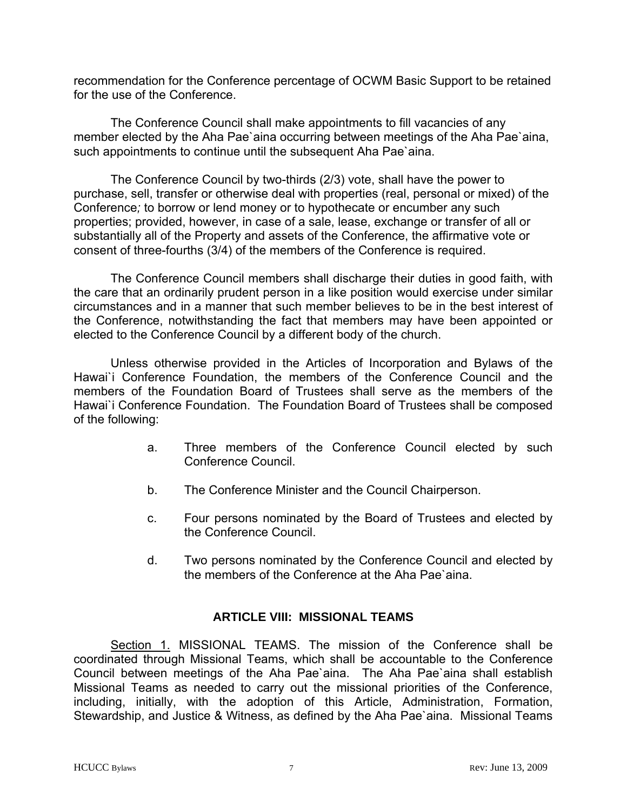recommendation for the Conference percentage of OCWM Basic Support to be retained for the use of the Conference.

The Conference Council shall make appointments to fill vacancies of any member elected by the Aha Pae`aina occurring between meetings of the Aha Pae`aina, such appointments to continue until the subsequent Aha Pae`aina.

The Conference Council by two-thirds (2/3) vote, shall have the power to purchase, sell, transfer or otherwise deal with properties (real, personal or mixed) of the Conference*;* to borrow or lend money or to hypothecate or encumber any such properties; provided, however, in case of a sale, lease, exchange or transfer of all or substantially all of the Property and assets of the Conference, the affirmative vote or consent of three-fourths (3/4) of the members of the Conference is required.

 The Conference Council members shall discharge their duties in good faith, with the care that an ordinarily prudent person in a like position would exercise under similar circumstances and in a manner that such member believes to be in the best interest of the Conference, notwithstanding the fact that members may have been appointed or elected to the Conference Council by a different body of the church.

Unless otherwise provided in the Articles of Incorporation and Bylaws of the Hawai'i Conference Foundation, the members of the Conference Council and the members of the Foundation Board of Trustees shall serve as the members of the Hawai`i Conference Foundation. The Foundation Board of Trustees shall be composed of the following:

- a. Three members of the Conference Council elected by such Conference Council.
- b. The Conference Minister and the Council Chairperson.
- c. Four persons nominated by the Board of Trustees and elected by the Conference Council.
- d. Two persons nominated by the Conference Council and elected by the members of the Conference at the Aha Pae`aina.

# **ARTICLE VIII: MISSIONAL TEAMS**

Section 1. MISSIONAL TEAMS. The mission of the Conference shall be coordinated through Missional Teams, which shall be accountable to the Conference Council between meetings of the Aha Pae`aina. The Aha Pae`aina shall establish Missional Teams as needed to carry out the missional priorities of the Conference, including, initially, with the adoption of this Article, Administration, Formation, Stewardship, and Justice & Witness, as defined by the Aha Pae`aina. Missional Teams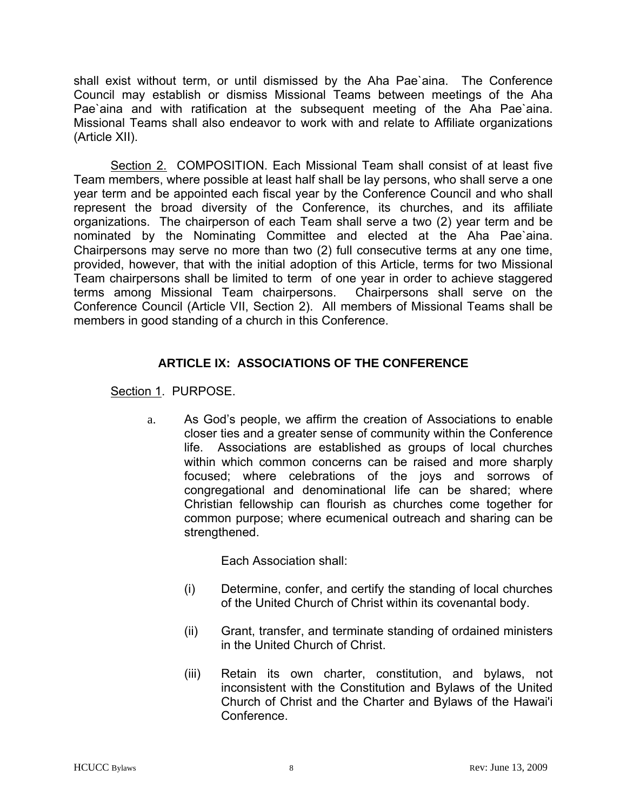shall exist without term, or until dismissed by the Aha Pae`aina. The Conference Council may establish or dismiss Missional Teams between meetings of the Aha Pae'aina and with ratification at the subsequent meeting of the Aha Pae'aina. Missional Teams shall also endeavor to work with and relate to Affiliate organizations (Article XII).

Section 2. COMPOSITION. Each Missional Team shall consist of at least five Team members, where possible at least half shall be lay persons, who shall serve a one year term and be appointed each fiscal year by the Conference Council and who shall represent the broad diversity of the Conference, its churches, and its affiliate organizations. The chairperson of each Team shall serve a two (2) year term and be nominated by the Nominating Committee and elected at the Aha Pae`aina. Chairpersons may serve no more than two (2) full consecutive terms at any one time, provided, however, that with the initial adoption of this Article, terms for two Missional Team chairpersons shall be limited to term of one year in order to achieve staggered terms among Missional Team chairpersons. Chairpersons shall serve on the Conference Council (Article VII, Section 2). All members of Missional Teams shall be members in good standing of a church in this Conference.

# **ARTICLE IX: ASSOCIATIONS OF THE CONFERENCE**

Section 1. PURPOSE.

 a. As God's people, we affirm the creation of Associations to enable closer ties and a greater sense of community within the Conference life. Associations are established as groups of local churches within which common concerns can be raised and more sharply focused; where celebrations of the joys and sorrows of congregational and denominational life can be shared; where Christian fellowship can flourish as churches come together for common purpose; where ecumenical outreach and sharing can be strengthened.

Each Association shall:

- (i) Determine, confer, and certify the standing of local churches of the United Church of Christ within its covenantal body.
- (ii) Grant, transfer, and terminate standing of ordained ministers in the United Church of Christ.
- (iii) Retain its own charter, constitution, and bylaws, not inconsistent with the Constitution and Bylaws of the United Church of Christ and the Charter and Bylaws of the Hawai'i Conference.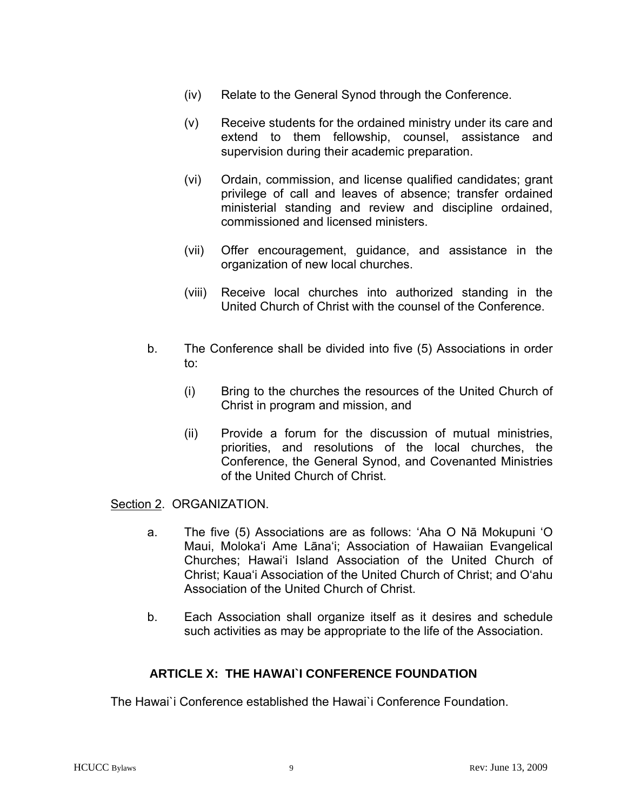- (iv) Relate to the General Synod through the Conference.
- (v) Receive students for the ordained ministry under its care and extend to them fellowship, counsel, assistance and supervision during their academic preparation.
- (vi) Ordain, commission, and license qualified candidates; grant privilege of call and leaves of absence; transfer ordained ministerial standing and review and discipline ordained, commissioned and licensed ministers.
- (vii) Offer encouragement, guidance, and assistance in the organization of new local churches.
- (viii) Receive local churches into authorized standing in the United Church of Christ with the counsel of the Conference.
- b. The Conference shall be divided into five (5) Associations in order to:
	- (i) Bring to the churches the resources of the United Church of Christ in program and mission, and
	- (ii) Provide a forum for the discussion of mutual ministries, priorities, and resolutions of the local churches, the Conference, the General Synod, and Covenanted Ministries of the United Church of Christ.

### Section 2. ORGANIZATION.

- a. The five (5) Associations are as follows: 'Aha O Nā Mokupuni 'O Maui, Moloka'i Ame Lāna'i; Association of Hawaiian Evangelical Churches; Hawai'i Island Association of the United Church of Christ; Kaua'i Association of the United Church of Christ; and O'ahu Association of the United Church of Christ.
- b. Each Association shall organize itself as it desires and schedule such activities as may be appropriate to the life of the Association.

### **ARTICLE X: THE HAWAI`I CONFERENCE FOUNDATION**

The Hawai`i Conference established the Hawai`i Conference Foundation.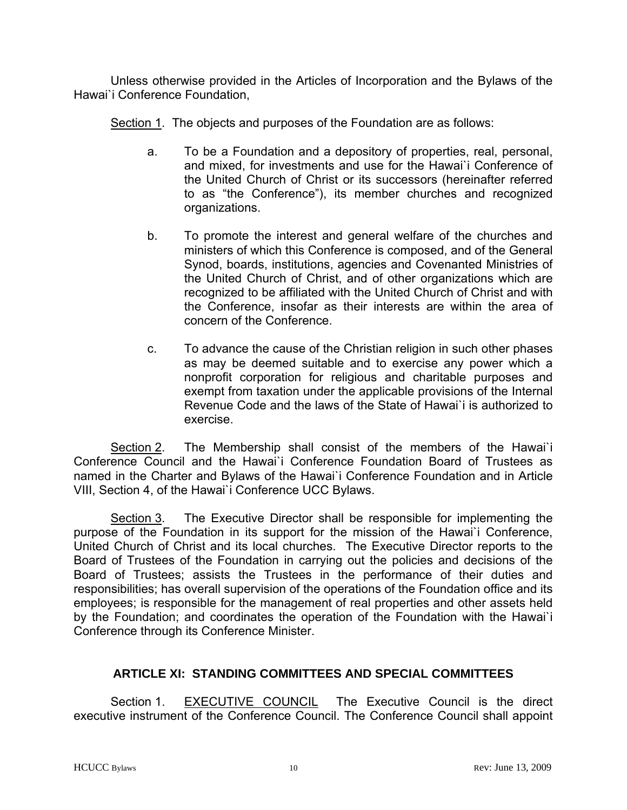Unless otherwise provided in the Articles of Incorporation and the Bylaws of the Hawai`i Conference Foundation,

Section 1. The objects and purposes of the Foundation are as follows:

- a. To be a Foundation and a depository of properties, real, personal, and mixed, for investments and use for the Hawai`i Conference of the United Church of Christ or its successors (hereinafter referred to as "the Conference"), its member churches and recognized organizations.
- b. To promote the interest and general welfare of the churches and ministers of which this Conference is composed, and of the General Synod, boards, institutions, agencies and Covenanted Ministries of the United Church of Christ, and of other organizations which are recognized to be affiliated with the United Church of Christ and with the Conference, insofar as their interests are within the area of concern of the Conference.
- c. To advance the cause of the Christian religion in such other phases as may be deemed suitable and to exercise any power which a nonprofit corporation for religious and charitable purposes and exempt from taxation under the applicable provisions of the Internal Revenue Code and the laws of the State of Hawai`i is authorized to exercise.

 Section 2. The Membership shall consist of the members of the Hawai`i Conference Council and the Hawai`i Conference Foundation Board of Trustees as named in the Charter and Bylaws of the Hawai`i Conference Foundation and in Article VIII, Section 4, of the Hawai`i Conference UCC Bylaws.

 Section 3. The Executive Director shall be responsible for implementing the purpose of the Foundation in its support for the mission of the Hawai`i Conference, United Church of Christ and its local churches. The Executive Director reports to the Board of Trustees of the Foundation in carrying out the policies and decisions of the Board of Trustees; assists the Trustees in the performance of their duties and responsibilities; has overall supervision of the operations of the Foundation office and its employees; is responsible for the management of real properties and other assets held by the Foundation; and coordinates the operation of the Foundation with the Hawai`i Conference through its Conference Minister.

# **ARTICLE XI: STANDING COMMITTEES AND SPECIAL COMMITTEES**

 Section 1. EXECUTIVE COUNCIL The Executive Council is the direct executive instrument of the Conference Council. The Conference Council shall appoint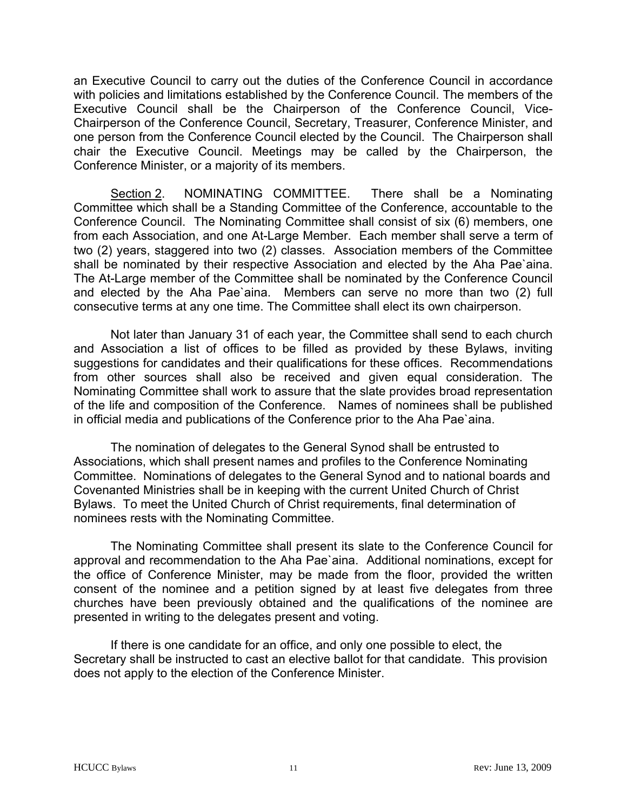an Executive Council to carry out the duties of the Conference Council in accordance with policies and limitations established by the Conference Council. The members of the Executive Council shall be the Chairperson of the Conference Council, Vice-Chairperson of the Conference Council, Secretary, Treasurer, Conference Minister, and one person from the Conference Council elected by the Council. The Chairperson shall chair the Executive Council. Meetings may be called by the Chairperson, the Conference Minister, or a majority of its members.

 Section 2. NOMINATING COMMITTEE. There shall be a Nominating Committee which shall be a Standing Committee of the Conference, accountable to the Conference Council. The Nominating Committee shall consist of six (6) members, one from each Association, and one At-Large Member. Each member shall serve a term of two (2) years, staggered into two (2) classes. Association members of the Committee shall be nominated by their respective Association and elected by the Aha Pae`aina. The At-Large member of the Committee shall be nominated by the Conference Council and elected by the Aha Pae`aina. Members can serve no more than two (2) full consecutive terms at any one time. The Committee shall elect its own chairperson.

 Not later than January 31 of each year, the Committee shall send to each church and Association a list of offices to be filled as provided by these Bylaws, inviting suggestions for candidates and their qualifications for these offices. Recommendations from other sources shall also be received and given equal consideration. The Nominating Committee shall work to assure that the slate provides broad representation of the life and composition of the Conference. Names of nominees shall be published in official media and publications of the Conference prior to the Aha Pae`aina.

The nomination of delegates to the General Synod shall be entrusted to Associations, which shall present names and profiles to the Conference Nominating Committee. Nominations of delegates to the General Synod and to national boards and Covenanted Ministries shall be in keeping with the current United Church of Christ Bylaws. To meet the United Church of Christ requirements, final determination of nominees rests with the Nominating Committee.

The Nominating Committee shall present its slate to the Conference Council for approval and recommendation to the Aha Pae`aina. Additional nominations, except for the office of Conference Minister, may be made from the floor, provided the written consent of the nominee and a petition signed by at least five delegates from three churches have been previously obtained and the qualifications of the nominee are presented in writing to the delegates present and voting.

If there is one candidate for an office, and only one possible to elect, the Secretary shall be instructed to cast an elective ballot for that candidate. This provision does not apply to the election of the Conference Minister.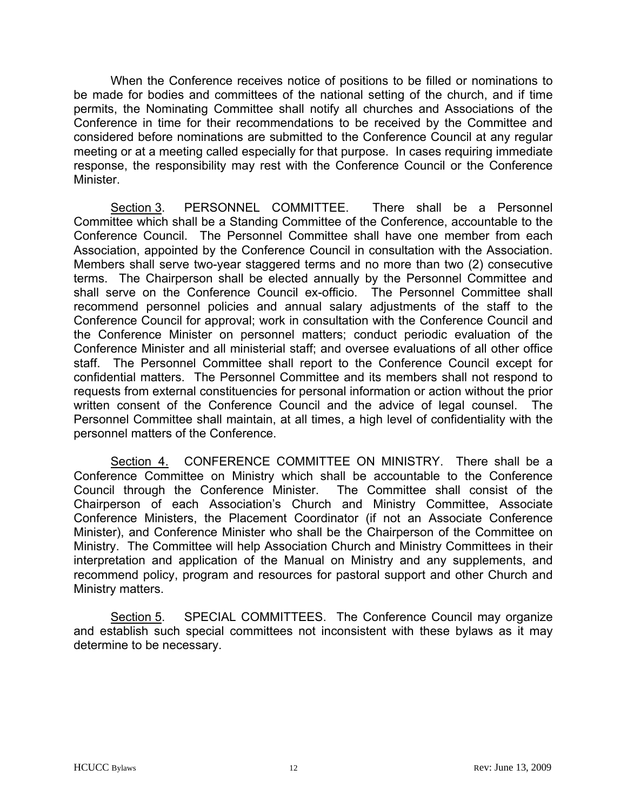When the Conference receives notice of positions to be filled or nominations to be made for bodies and committees of the national setting of the church, and if time permits, the Nominating Committee shall notify all churches and Associations of the Conference in time for their recommendations to be received by the Committee and considered before nominations are submitted to the Conference Council at any regular meeting or at a meeting called especially for that purpose. In cases requiring immediate response, the responsibility may rest with the Conference Council or the Conference Minister.

 Section 3. PERSONNEL COMMITTEE. There shall be a Personnel Committee which shall be a Standing Committee of the Conference, accountable to the Conference Council. The Personnel Committee shall have one member from each Association, appointed by the Conference Council in consultation with the Association. Members shall serve two-year staggered terms and no more than two (2) consecutive terms. The Chairperson shall be elected annually by the Personnel Committee and shall serve on the Conference Council ex-officio. The Personnel Committee shall recommend personnel policies and annual salary adjustments of the staff to the Conference Council for approval; work in consultation with the Conference Council and the Conference Minister on personnel matters; conduct periodic evaluation of the Conference Minister and all ministerial staff; and oversee evaluations of all other office staff. The Personnel Committee shall report to the Conference Council except for confidential matters. The Personnel Committee and its members shall not respond to requests from external constituencies for personal information or action without the prior written consent of the Conference Council and the advice of legal counsel. The Personnel Committee shall maintain, at all times, a high level of confidentiality with the personnel matters of the Conference.

Section 4. CONFERENCE COMMITTEE ON MINISTRY. There shall be a Conference Committee on Ministry which shall be accountable to the Conference Council through the Conference Minister. The Committee shall consist of the Chairperson of each Association's Church and Ministry Committee, Associate Conference Ministers, the Placement Coordinator (if not an Associate Conference Minister), and Conference Minister who shall be the Chairperson of the Committee on Ministry. The Committee will help Association Church and Ministry Committees in their interpretation and application of the Manual on Ministry and any supplements, and recommend policy, program and resources for pastoral support and other Church and Ministry matters.

Section 5. SPECIAL COMMITTEES. The Conference Council may organize and establish such special committees not inconsistent with these bylaws as it may determine to be necessary.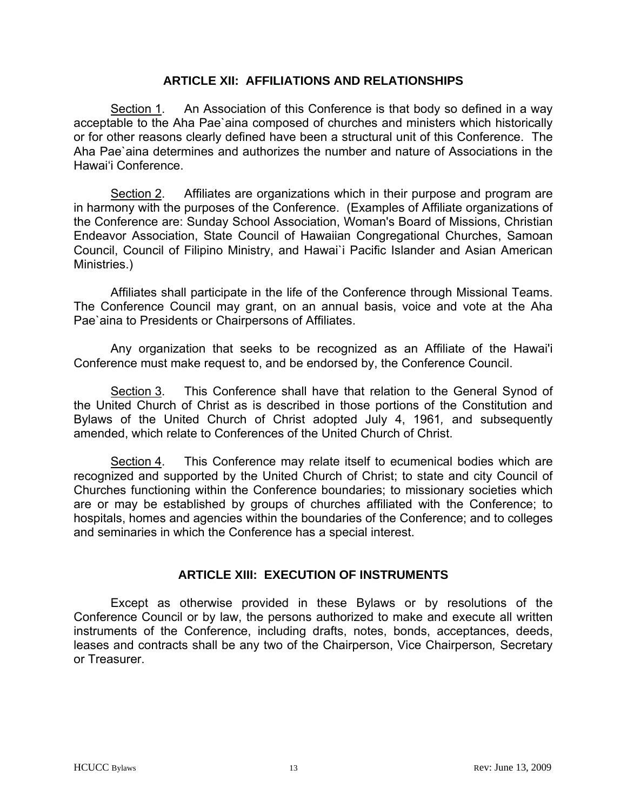### **ARTICLE XII: AFFILIATIONS AND RELATIONSHIPS**

 Section 1. An Association of this Conference is that body so defined in a way acceptable to the Aha Pae`aina composed of churches and ministers which historically or for other reasons clearly defined have been a structural unit of this Conference. The Aha Pae`aina determines and authorizes the number and nature of Associations in the Hawai'i Conference.

 Section 2. Affiliates are organizations which in their purpose and program are in harmony with the purposes of the Conference. (Examples of Affiliate organizations of the Conference are: Sunday School Association, Woman's Board of Missions, Christian Endeavor Association, State Council of Hawaiian Congregational Churches, Samoan Council, Council of Filipino Ministry, and Hawai`i Pacific Islander and Asian American Ministries.)

 Affiliates shall participate in the life of the Conference through Missional Teams. The Conference Council may grant, on an annual basis, voice and vote at the Aha Pae'aina to Presidents or Chairpersons of Affiliates.

 Any organization that seeks to be recognized as an Affiliate of the Hawai'i Conference must make request to, and be endorsed by, the Conference Council.

 Section 3. This Conference shall have that relation to the General Synod of the United Church of Christ as is described in those portions of the Constitution and Bylaws of the United Church of Christ adopted July 4, 1961*,* and subsequently amended, which relate to Conferences of the United Church of Christ.

 Section 4. This Conference may relate itself to ecumenical bodies which are recognized and supported by the United Church of Christ; to state and city Council of Churches functioning within the Conference boundaries; to missionary societies which are or may be established by groups of churches affiliated with the Conference; to hospitals, homes and agencies within the boundaries of the Conference; and to colleges and seminaries in which the Conference has a special interest.

### **ARTICLE XIII: EXECUTION OF INSTRUMENTS**

 Except as otherwise provided in these Bylaws or by resolutions of the Conference Council or by law, the persons authorized to make and execute all written instruments of the Conference, including drafts, notes, bonds, acceptances, deeds, leases and contracts shall be any two of the Chairperson, Vice Chairperson*,* Secretary or Treasurer.